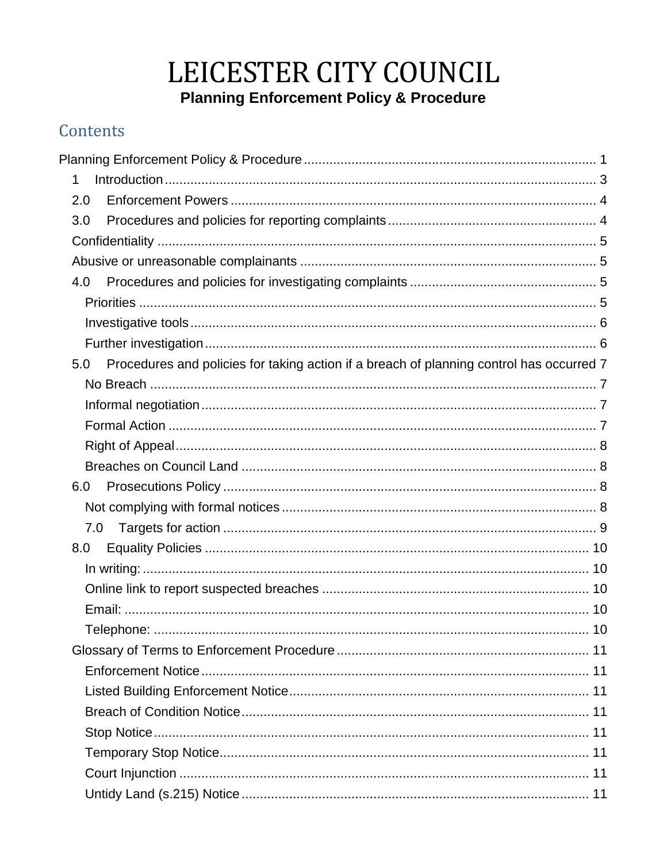# LEICESTER CITY COUNCIL **Planning Enforcement Policy & Procedure**

# <span id="page-0-0"></span>Contents

| 1                                                                                               |  |
|-------------------------------------------------------------------------------------------------|--|
| 2.0                                                                                             |  |
| 3.0                                                                                             |  |
|                                                                                                 |  |
|                                                                                                 |  |
| 4.0                                                                                             |  |
|                                                                                                 |  |
|                                                                                                 |  |
|                                                                                                 |  |
| Procedures and policies for taking action if a breach of planning control has occurred 7<br>5.0 |  |
|                                                                                                 |  |
|                                                                                                 |  |
|                                                                                                 |  |
|                                                                                                 |  |
|                                                                                                 |  |
| 6.0                                                                                             |  |
|                                                                                                 |  |
| 7.0                                                                                             |  |
| 8.0                                                                                             |  |
|                                                                                                 |  |
|                                                                                                 |  |
|                                                                                                 |  |
|                                                                                                 |  |
|                                                                                                 |  |
|                                                                                                 |  |
|                                                                                                 |  |
|                                                                                                 |  |
|                                                                                                 |  |
|                                                                                                 |  |
|                                                                                                 |  |
|                                                                                                 |  |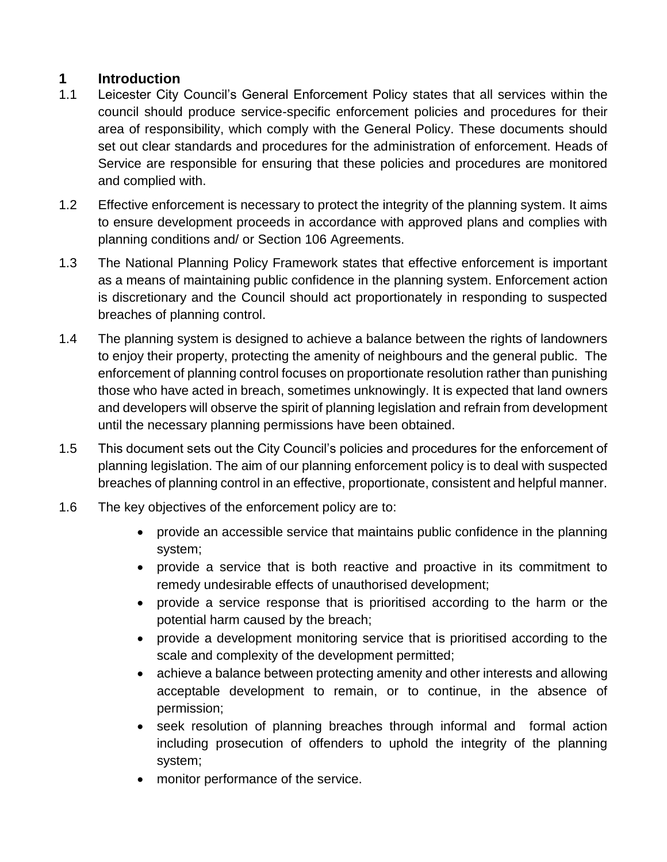# <span id="page-2-0"></span>**1 Introduction**

- 1.1 Leicester City Council's General Enforcement Policy states that all services within the council should produce service-specific enforcement policies and procedures for their area of responsibility, which comply with the General Policy. These documents should set out clear standards and procedures for the administration of enforcement. Heads of Service are responsible for ensuring that these policies and procedures are monitored and complied with.
- 1.2 Effective enforcement is necessary to protect the integrity of the planning system. It aims to ensure development proceeds in accordance with approved plans and complies with planning conditions and/ or Section 106 Agreements.
- 1.3 The National Planning Policy Framework states that effective enforcement is important as a means of maintaining public confidence in the planning system. Enforcement action is discretionary and the Council should act proportionately in responding to suspected breaches of planning control.
- 1.4 The planning system is designed to achieve a balance between the rights of landowners to enjoy their property, protecting the amenity of neighbours and the general public. The enforcement of planning control focuses on proportionate resolution rather than punishing those who have acted in breach, sometimes unknowingly. It is expected that land owners and developers will observe the spirit of planning legislation and refrain from development until the necessary planning permissions have been obtained.
- 1.5 This document sets out the City Council's policies and procedures for the enforcement of planning legislation. The aim of our planning enforcement policy is to deal with suspected breaches of planning control in an effective, proportionate, consistent and helpful manner.
- 1.6 The key objectives of the enforcement policy are to:
	- provide an accessible service that maintains public confidence in the planning system;
	- provide a service that is both reactive and proactive in its commitment to remedy undesirable effects of unauthorised development;
	- provide a service response that is prioritised according to the harm or the potential harm caused by the breach;
	- provide a development monitoring service that is prioritised according to the scale and complexity of the development permitted;
	- achieve a balance between protecting amenity and other interests and allowing acceptable development to remain, or to continue, in the absence of permission;
	- seek resolution of planning breaches through informal and formal action including prosecution of offenders to uphold the integrity of the planning system;
	- monitor performance of the service.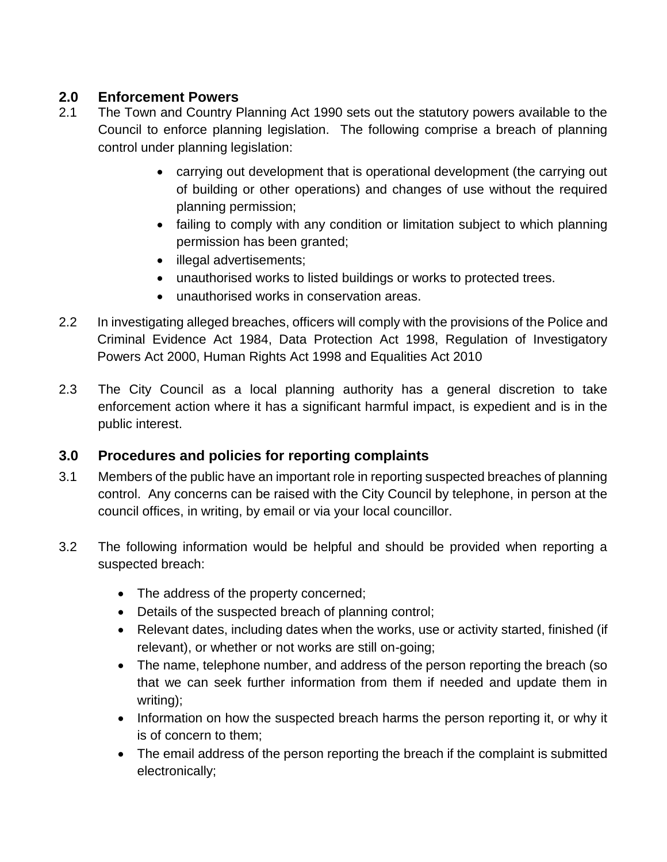# <span id="page-3-0"></span>**2.0 Enforcement Powers**

- 2.1 The Town and Country Planning Act 1990 sets out the statutory powers available to the Council to enforce planning legislation. The following comprise a breach of planning control under planning legislation:
	- carrying out development that is operational development (the carrying out of building or other operations) and changes of use without the required planning permission;
	- failing to comply with any condition or limitation subject to which planning permission has been granted;
	- illegal advertisements;
	- unauthorised works to listed buildings or works to protected trees.
	- unauthorised works in conservation areas.
- 2.2 In investigating alleged breaches, officers will comply with the provisions of the Police and Criminal Evidence Act 1984, Data Protection Act 1998, Regulation of Investigatory Powers Act 2000, Human Rights Act 1998 and Equalities Act 2010
- 2.3 The City Council as a local planning authority has a general discretion to take enforcement action where it has a significant harmful impact, is expedient and is in the public interest.

# <span id="page-3-1"></span>**3.0 Procedures and policies for reporting complaints**

- 3.1 Members of the public have an important role in reporting suspected breaches of planning control. Any concerns can be raised with the City Council by telephone, in person at the council offices, in writing, by email or via your local councillor.
- 3.2 The following information would be helpful and should be provided when reporting a suspected breach:
	- The address of the property concerned;
	- Details of the suspected breach of planning control;
	- Relevant dates, including dates when the works, use or activity started, finished (if relevant), or whether or not works are still on-going;
	- The name, telephone number, and address of the person reporting the breach (so that we can seek further information from them if needed and update them in writing);
	- Information on how the suspected breach harms the person reporting it, or why it is of concern to them;
	- The email address of the person reporting the breach if the complaint is submitted electronically;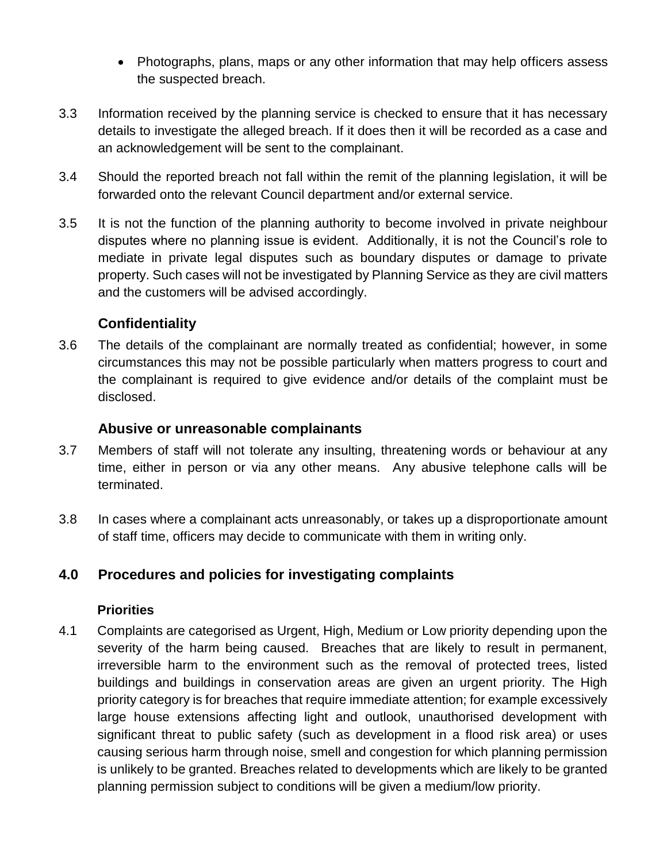- Photographs, plans, maps or any other information that may help officers assess the suspected breach.
- 3.3 Information received by the planning service is checked to ensure that it has necessary details to investigate the alleged breach. If it does then it will be recorded as a case and an acknowledgement will be sent to the complainant.
- 3.4 Should the reported breach not fall within the remit of the planning legislation, it will be forwarded onto the relevant Council department and/or external service.
- 3.5 It is not the function of the planning authority to become involved in private neighbour disputes where no planning issue is evident. Additionally, it is not the Council's role to mediate in private legal disputes such as boundary disputes or damage to private property. Such cases will not be investigated by Planning Service as they are civil matters and the customers will be advised accordingly.

# **Confidentiality**

<span id="page-4-0"></span>3.6 The details of the complainant are normally treated as confidential; however, in some circumstances this may not be possible particularly when matters progress to court and the complainant is required to give evidence and/or details of the complaint must be disclosed.

# <span id="page-4-1"></span> **Abusive or unreasonable complainants**

- 3.7 Members of staff will not tolerate any insulting, threatening words or behaviour at any time, either in person or via any other means. Any abusive telephone calls will be terminated.
- 3.8 In cases where a complainant acts unreasonably, or takes up a disproportionate amount of staff time, officers may decide to communicate with them in writing only.

# <span id="page-4-2"></span>**4.0 Procedures and policies for investigating complaints**

#### **Priorities**

<span id="page-4-3"></span>4.1 Complaints are categorised as Urgent, High, Medium or Low priority depending upon the severity of the harm being caused. Breaches that are likely to result in permanent, irreversible harm to the environment such as the removal of protected trees, listed buildings and buildings in conservation areas are given an urgent priority. The High priority category is for breaches that require immediate attention; for example excessively large house extensions affecting light and outlook, unauthorised development with significant threat to public safety (such as development in a flood risk area) or uses causing serious harm through noise, smell and congestion for which planning permission is unlikely to be granted. Breaches related to developments which are likely to be granted planning permission subject to conditions will be given a medium/low priority.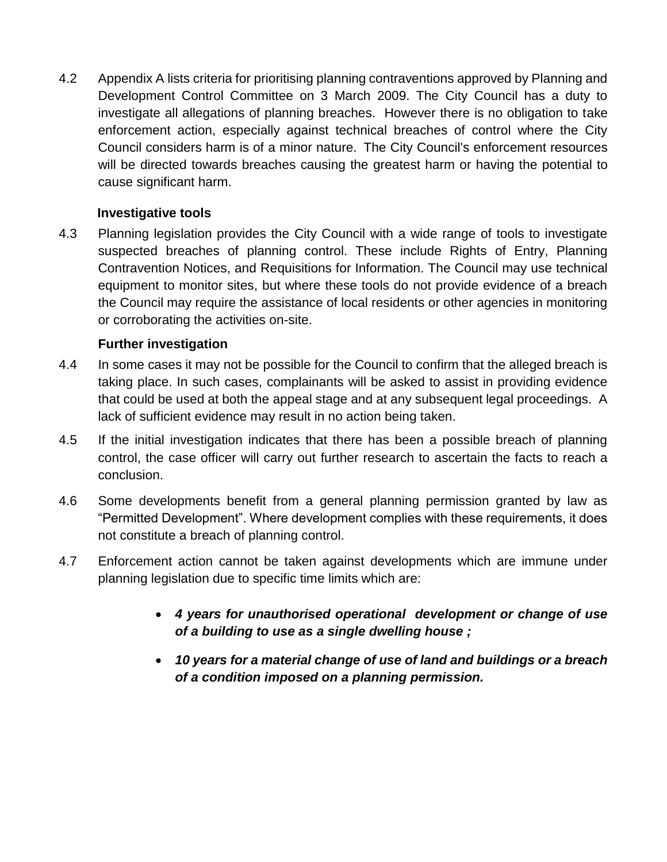4.2 Appendix A lists criteria for prioritising planning contraventions approved by Planning and Development Control Committee on 3 March 2009. The City Council has a duty to investigate all allegations of planning breaches. However there is no obligation to take enforcement action, especially against technical breaches of control where the City Council considers harm is of a minor nature. The City Council's enforcement resources will be directed towards breaches causing the greatest harm or having the potential to cause significant harm.

#### **Investigative tools**

<span id="page-5-0"></span>4.3 Planning legislation provides the City Council with a wide range of tools to investigate suspected breaches of planning control. These include Rights of Entry, Planning Contravention Notices, and Requisitions for Information. The Council may use technical equipment to monitor sites, but where these tools do not provide evidence of a breach the Council may require the assistance of local residents or other agencies in monitoring or corroborating the activities on-site.

# **Further investigation**

- <span id="page-5-1"></span>4.4 In some cases it may not be possible for the Council to confirm that the alleged breach is taking place. In such cases, complainants will be asked to assist in providing evidence that could be used at both the appeal stage and at any subsequent legal proceedings. A lack of sufficient evidence may result in no action being taken.
- 4.5 If the initial investigation indicates that there has been a possible breach of planning control, the case officer will carry out further research to ascertain the facts to reach a conclusion.
- 4.6 Some developments benefit from a general planning permission granted by law as "Permitted Development". Where development complies with these requirements, it does not constitute a breach of planning control.
- 4.7 Enforcement action cannot be taken against developments which are immune under planning legislation due to specific time limits which are:
	- *4 years for unauthorised operational development or change of use of a building to use as a single dwelling house ;*
	- *10 years for a material change of use of land and buildings or a breach of a condition imposed on a planning permission.*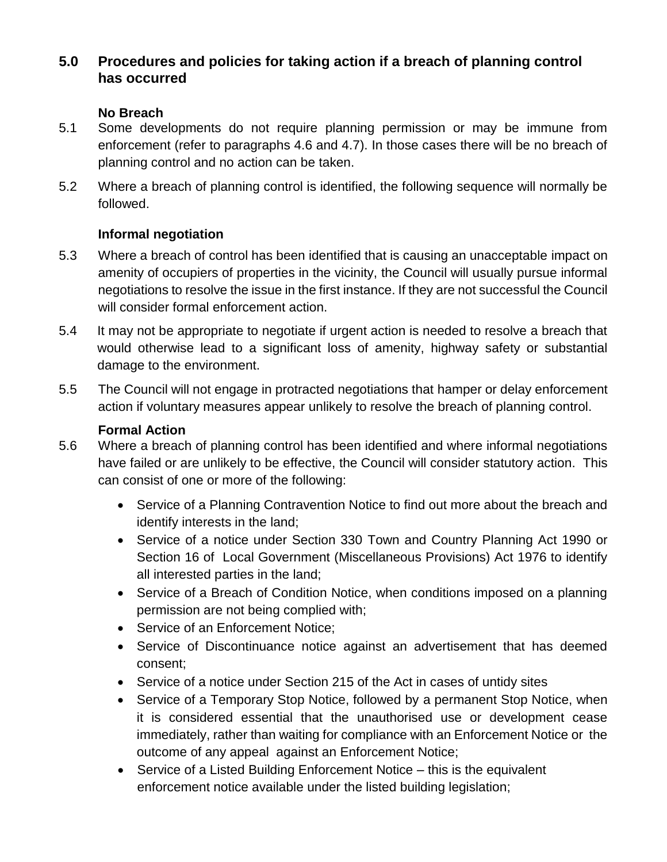# <span id="page-6-0"></span>**5.0 Procedures and policies for taking action if a breach of planning control has occurred**

#### **No Breach**

- <span id="page-6-1"></span>5.1 Some developments do not require planning permission or may be immune from enforcement (refer to paragraphs 4.6 and 4.7). In those cases there will be no breach of planning control and no action can be taken.
- 5.2 Where a breach of planning control is identified, the following sequence will normally be followed.

#### **Informal negotiation**

- <span id="page-6-2"></span>5.3 Where a breach of control has been identified that is causing an unacceptable impact on amenity of occupiers of properties in the vicinity, the Council will usually pursue informal negotiations to resolve the issue in the first instance. If they are not successful the Council will consider formal enforcement action.
- 5.4 It may not be appropriate to negotiate if urgent action is needed to resolve a breach that would otherwise lead to a significant loss of amenity, highway safety or substantial damage to the environment.
- 5.5 The Council will not engage in protracted negotiations that hamper or delay enforcement action if voluntary measures appear unlikely to resolve the breach of planning control.

#### **Formal Action**

- <span id="page-6-3"></span>5.6 Where a breach of planning control has been identified and where informal negotiations have failed or are unlikely to be effective, the Council will consider statutory action. This can consist of one or more of the following:
	- Service of a Planning Contravention Notice to find out more about the breach and identify interests in the land;
	- Service of a notice under Section 330 Town and Country Planning Act 1990 or Section 16 of Local Government (Miscellaneous Provisions) Act 1976 to identify all interested parties in the land;
	- Service of a Breach of Condition Notice, when conditions imposed on a planning permission are not being complied with;
	- Service of an Enforcement Notice;
	- Service of Discontinuance notice against an advertisement that has deemed consent;
	- Service of a notice under Section 215 of the Act in cases of untidy sites
	- Service of a Temporary Stop Notice, followed by a permanent Stop Notice, when it is considered essential that the unauthorised use or development cease immediately, rather than waiting for compliance with an Enforcement Notice or the outcome of any appeal against an Enforcement Notice;
	- Service of a Listed Building Enforcement Notice this is the equivalent enforcement notice available under the listed building legislation;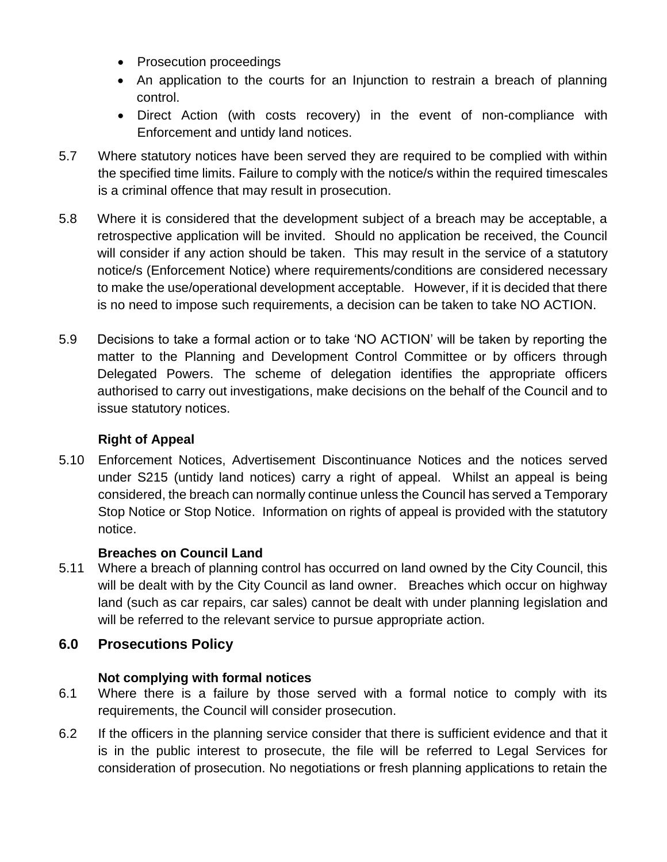- Prosecution proceedings
- An application to the courts for an Injunction to restrain a breach of planning control.
- Direct Action (with costs recovery) in the event of non-compliance with Enforcement and untidy land notices.
- 5.7 Where statutory notices have been served they are required to be complied with within the specified time limits. Failure to comply with the notice/s within the required timescales is a criminal offence that may result in prosecution.
- 5.8 Where it is considered that the development subject of a breach may be acceptable, a retrospective application will be invited. Should no application be received, the Council will consider if any action should be taken. This may result in the service of a statutory notice/s (Enforcement Notice) where requirements/conditions are considered necessary to make the use/operational development acceptable. However, if it is decided that there is no need to impose such requirements, a decision can be taken to take NO ACTION.
- 5.9 Decisions to take a formal action or to take 'NO ACTION' will be taken by reporting the matter to the Planning and Development Control Committee or by officers through Delegated Powers. The scheme of delegation identifies the appropriate officers authorised to carry out investigations, make decisions on the behalf of the Council and to issue statutory notices.

#### <span id="page-7-0"></span>**Right of Appeal**

5.10 Enforcement Notices, Advertisement Discontinuance Notices and the notices served under S215 (untidy land notices) carry a right of appeal. Whilst an appeal is being considered, the breach can normally continue unless the Council has served a Temporary Stop Notice or Stop Notice. Information on rights of appeal is provided with the statutory notice.

#### <span id="page-7-1"></span>**Breaches on Council Land**

5.11 Where a breach of planning control has occurred on land owned by the City Council, this will be dealt with by the City Council as land owner. Breaches which occur on highway land (such as car repairs, car sales) cannot be dealt with under planning legislation and will be referred to the relevant service to pursue appropriate action.

#### <span id="page-7-2"></span>**6.0 Prosecutions Policy**

#### **Not complying with formal notices**

- <span id="page-7-3"></span>6.1 Where there is a failure by those served with a formal notice to comply with its requirements, the Council will consider prosecution.
- 6.2 If the officers in the planning service consider that there is sufficient evidence and that it is in the public interest to prosecute, the file will be referred to Legal Services for consideration of prosecution. No negotiations or fresh planning applications to retain the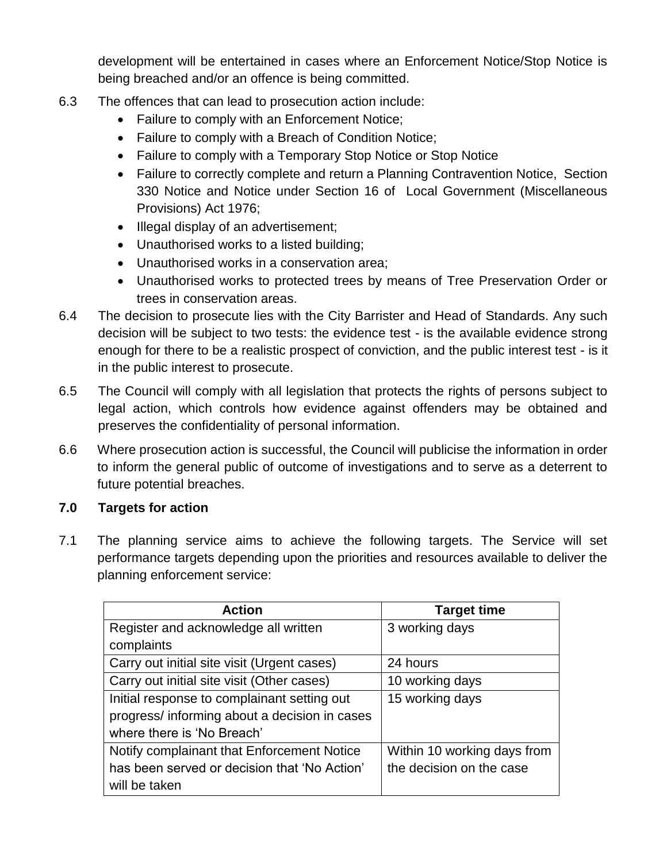development will be entertained in cases where an Enforcement Notice/Stop Notice is being breached and/or an offence is being committed.

- 6.3 The offences that can lead to prosecution action include:
	- Failure to comply with an Enforcement Notice;
	- Failure to comply with a Breach of Condition Notice;
	- Failure to comply with a Temporary Stop Notice or Stop Notice
	- Failure to correctly complete and return a Planning Contravention Notice, Section 330 Notice and Notice under Section 16 of Local Government (Miscellaneous Provisions) Act 1976;
	- Illegal display of an advertisement;
	- Unauthorised works to a listed building;
	- Unauthorised works in a conservation area;
	- Unauthorised works to protected trees by means of Tree Preservation Order or trees in conservation areas.
- 6.4 The decision to prosecute lies with the City Barrister and Head of Standards. Any such decision will be subject to two tests: the evidence test - is the available evidence strong enough for there to be a realistic prospect of conviction, and the public interest test - is it in the public interest to prosecute.
- 6.5 The Council will comply with all legislation that protects the rights of persons subject to legal action, which controls how evidence against offenders may be obtained and preserves the confidentiality of personal information.
- 6.6 Where prosecution action is successful, the Council will publicise the information in order to inform the general public of outcome of investigations and to serve as a deterrent to future potential breaches.

#### <span id="page-8-0"></span>**7.0 Targets for action**

7.1 The planning service aims to achieve the following targets. The Service will set performance targets depending upon the priorities and resources available to deliver the planning enforcement service:

| <b>Action</b>                                 | <b>Target time</b>          |
|-----------------------------------------------|-----------------------------|
| Register and acknowledge all written          | 3 working days              |
| complaints                                    |                             |
| Carry out initial site visit (Urgent cases)   | 24 hours                    |
| Carry out initial site visit (Other cases)    | 10 working days             |
| Initial response to complainant setting out   | 15 working days             |
| progress/ informing about a decision in cases |                             |
| where there is 'No Breach'                    |                             |
| Notify complainant that Enforcement Notice    | Within 10 working days from |
| has been served or decision that 'No Action'  | the decision on the case    |
| will be taken                                 |                             |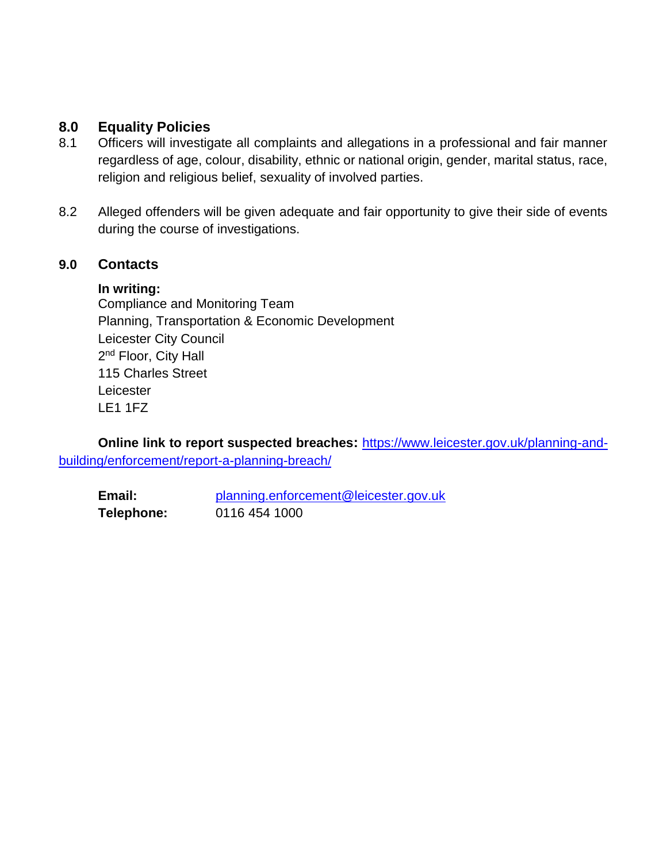# <span id="page-9-0"></span>**8.0 Equality Policies**

- 8.1 Officers will investigate all complaints and allegations in a professional and fair manner regardless of age, colour, disability, ethnic or national origin, gender, marital status, race, religion and religious belief, sexuality of involved parties.
- 8.2 Alleged offenders will be given adequate and fair opportunity to give their side of events during the course of investigations.

#### <span id="page-9-1"></span>**9.0 Contacts**

#### **In writing:**

Compliance and Monitoring Team Planning, Transportation & Economic Development Leicester City Council 2<sup>nd</sup> Floor, City Hall 115 Charles Street Leicester LE1 1FZ

<span id="page-9-2"></span>**Online link to report suspected breaches:** [https://www.leicester.gov.uk/planning-and](https://www.leicester.gov.uk/planning-and-building/enforcement/report-a-planning-breach/)[building/enforcement/report-a-planning-breach/](https://www.leicester.gov.uk/planning-and-building/enforcement/report-a-planning-breach/)

<span id="page-9-4"></span><span id="page-9-3"></span>Email: [planning.enforcement@leicester.gov.uk](mailto:planning.enforcement@leicester.gov.uk) **Telephone:** 0116 454 1000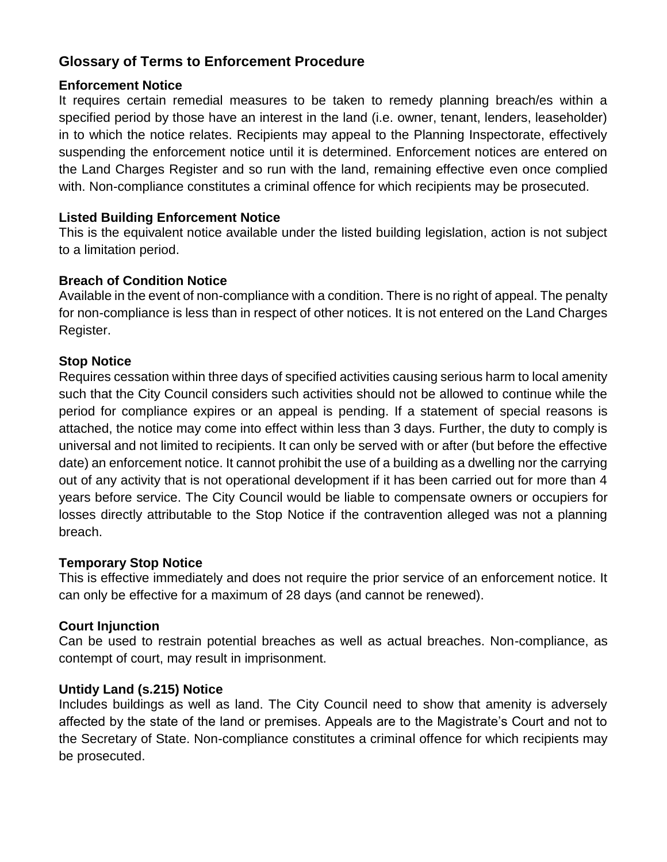# <span id="page-10-0"></span>**Glossary of Terms to Enforcement Procedure**

#### <span id="page-10-1"></span>**Enforcement Notice**

It requires certain remedial measures to be taken to remedy planning breach/es within a specified period by those have an interest in the land (i.e. owner, tenant, lenders, leaseholder) in to which the notice relates. Recipients may appeal to the Planning Inspectorate, effectively suspending the enforcement notice until it is determined. Enforcement notices are entered on the Land Charges Register and so run with the land, remaining effective even once complied with. Non-compliance constitutes a criminal offence for which recipients may be prosecuted.

#### <span id="page-10-2"></span>**Listed Building Enforcement Notice**

This is the equivalent notice available under the listed building legislation, action is not subject to a limitation period.

#### <span id="page-10-3"></span>**Breach of Condition Notice**

Available in the event of non-compliance with a condition. There is no right of appeal. The penalty for non-compliance is less than in respect of other notices. It is not entered on the Land Charges Register.

#### <span id="page-10-4"></span>**Stop Notice**

Requires cessation within three days of specified activities causing serious harm to local amenity such that the City Council considers such activities should not be allowed to continue while the period for compliance expires or an appeal is pending. If a statement of special reasons is attached, the notice may come into effect within less than 3 days. Further, the duty to comply is universal and not limited to recipients. It can only be served with or after (but before the effective date) an enforcement notice. It cannot prohibit the use of a building as a dwelling nor the carrying out of any activity that is not operational development if it has been carried out for more than 4 years before service. The City Council would be liable to compensate owners or occupiers for losses directly attributable to the Stop Notice if the contravention alleged was not a planning breach.

#### <span id="page-10-5"></span>**Temporary Stop Notice**

This is effective immediately and does not require the prior service of an enforcement notice. It can only be effective for a maximum of 28 days (and cannot be renewed).

#### <span id="page-10-6"></span>**Court Injunction**

Can be used to restrain potential breaches as well as actual breaches. Non-compliance, as contempt of court, may result in imprisonment.

#### <span id="page-10-7"></span>**Untidy Land (s.215) Notice**

Includes buildings as well as land. The City Council need to show that amenity is adversely affected by the state of the land or premises. Appeals are to the Magistrate's Court and not to the Secretary of State. Non-compliance constitutes a criminal offence for which recipients may be prosecuted.